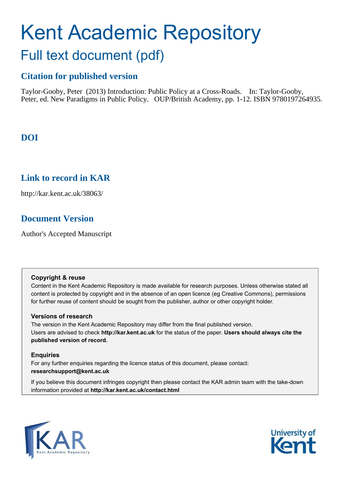# Kent Academic Repository Full text document (pdf)

# **Citation for published version**

Taylor-Gooby, Peter (2013) Introduction: Public Policy at a Cross-Roads. In: Taylor-Gooby, Peter, ed. New Paradigms in Public Policy. OUP/British Academy, pp. 1-12. ISBN 9780197264935.

# **DOI**

## **Link to record in KAR**

http://kar.kent.ac.uk/38063/

# **Document Version**

Author's Accepted Manuscript

## **Copyright & reuse**

Content in the Kent Academic Repository is made available for research purposes. Unless otherwise stated all content is protected by copyright and in the absence of an open licence (eg Creative Commons), permissions for further reuse of content should be sought from the publisher, author or other copyright holder.

## **Versions of research**

The version in the Kent Academic Repository may differ from the final published version. Users are advised to check **http://kar.kent.ac.uk** for the status of the paper. **Users should always cite the published version of record.**

## **Enquiries**

For any further enquiries regarding the licence status of this document, please contact: **researchsupport@kent.ac.uk**

If you believe this document infringes copyright then please contact the KAR admin team with the take-down information provided at **http://kar.kent.ac.uk/contact.html**



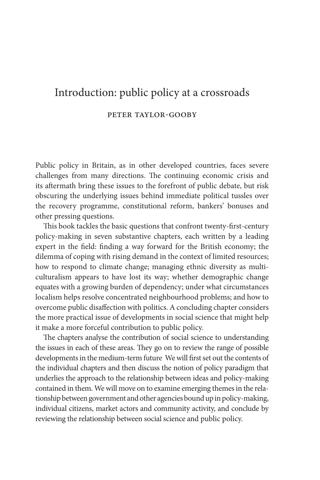# Introduction: public policy at a crossroads PETER TAYLOR-GOOBY

Public policy in Britain, as in other developed countries, faces severe challenges from many directions. The continuing economic crisis and its aftermath bring these issues to the forefront of public debate, but risk obscuring the underlying issues behind immediate political tussles over the recovery programme, constitutional reform, bankers' bonuses and other pressing questions.

This book tackles the basic questions that confront twenty-first-century policy-making in seven substantive chapters, each written by a leading expert in the field: finding a way forward for the British economy; the dilemma of coping with rising demand in the context of limited resources; how to respond to climate change; managing ethnic diversity as multiculturalism appears to have lost its way; whether demographic change equates with a growing burden of dependency; under what circumstances localism helps resolve concentrated neighbourhood problems; and how to overcome public disaffection with politics. A concluding chapter considers the more practical issue of developments in social science that might help it make a more forceful contribution to public policy.

The chapters analyse the contribution of social science to understanding the issues in each of these areas. They go on to review the range of possible developments in the medium-term future We will first set out the contents of the individual chapters and then discuss the notion of policy paradigm that underlies the approach to the relationship between ideas and policy-making contained in them. We will move on to examine emerging themes in the relationship between government and other agencies bound up in policy-making, individual citizens, market actors and community activity, and conclude by reviewing the relationship between social science and public policy.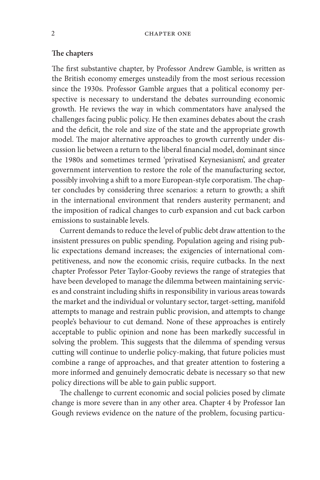#### The chapters

The first substantive chapter, by Professor Andrew Gamble, is written as the British economy emerges unsteadily from the most serious recession since the 1930s. Professor Gamble argues that a political economy perspective is necessary to understand the debates surrounding economic growth. He reviews the way in which commentators have analysed the challenges facing public policy. He then examines debates about the crash and the deficit, the role and size of the state and the appropriate growth model. The major alternative approaches to growth currently under discussion lie between a return to the liberal financial model, dominant since the 1980s and sometimes termed 'privatised Keynesianism', and greater government intervention to restore the role of the manufacturing sector, possibly involving a shift to a more European-style corporatism. The chapter concludes by considering three scenarios: a return to growth; a shift in the international environment that renders austerity permanent; and the imposition of radical changes to curb expansion and cut back carbon emissions to sustainable levels.

Current demands to reduce the level of public debt draw attention to the insistent pressures on public spending. Population ageing and rising public expectations demand increases; the exigencies of international competitiveness, and now the economic crisis, require cutbacks. In the next chapter Professor Peter Taylor-Gooby reviews the range of strategies that have been developed to manage the dilemma between maintaining services and constraint including shifts in responsibility in various areas towards the market and the individual or voluntary sector, target-setting, manifold attempts to manage and restrain public provision, and attempts to change people's behaviour to cut demand. None of these approaches is entirely acceptable to public opinion and none has been markedly successful in solving the problem. This suggests that the dilemma of spending versus cutting will continue to underlie policy-making, that future policies must combine a range of approaches, and that greater attention to fostering a more informed and genuinely democratic debate is necessary so that new policy directions will be able to gain public support.

The challenge to current economic and social policies posed by climate change is more severe than in any other area. Chapter 4 by Professor Ian Gough reviews evidence on the nature of the problem, focusing particu-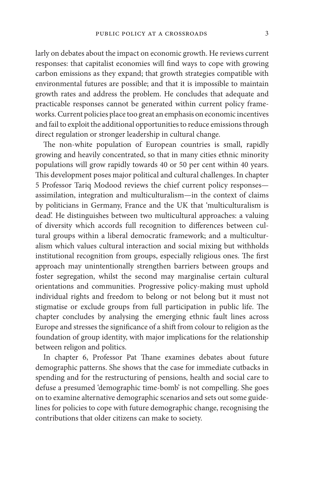larly on debates about the impact on economic growth. He reviews current responses: that capitalist economies will find ways to cope with growing carbon emissions as they expand; that growth strategies compatible with environmental futures are possible; and that it is impossible to maintain growth rates and address the problem. He concludes that adequate and practicable responses cannot be generated within current policy frameworks. Current policies place too great an emphasis on economic incentives and fail to exploit the additional opportunities to reduce emissions through direct regulation or stronger leadership in cultural change.

The non-white population of European countries is small, rapidly growing and heavily concentrated, so that in many cities ethnic minority populations will grow rapidly towards 40 or 50 per cent within 40 years. This development poses major political and cultural challenges. In chapter 5 Professor Tariq Modood reviews the chief current policy responsesassimilation, integration and multiculturalism-in the context of claims by politicians in Germany, France and the UK that 'multiculturalism is dead'. He distinguishes between two multicultural approaches: a valuing of diversity which accords full recognition to differences between cultural groups within a liberal democratic framework; and a multiculturalism which values cultural interaction and social mixing but withholds institutional recognition from groups, especially religious ones. The first approach may unintentionally strengthen barriers between groups and foster segregation, whilst the second may marginalise certain cultural orientations and communities. Progressive policy-making must uphold individual rights and freedom to belong or not belong but it must not stigmatise or exclude groups from full participation in public life. The chapter concludes by analysing the emerging ethnic fault lines across Europe and stresses the significance of a shift from colour to religion as the foundation of group identity, with major implications for the relationship between religon and politics.

In chapter 6, Professor Pat Thane examines debates about future demographic patterns. She shows that the case for immediate cutbacks in spending and for the restructuring of pensions, health and social care to defuse a presumed 'demographic time-bomb' is not compelling. She goes on to examine alternative demographic scenarios and sets out some guidelines for policies to cope with future demographic change, recognising the contributions that older citizens can make to society.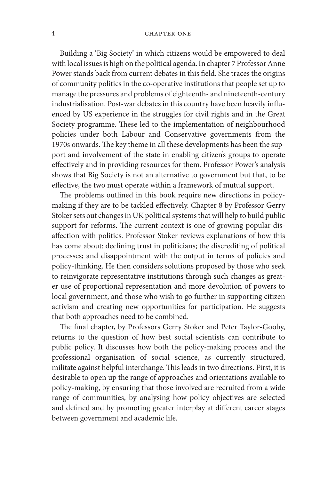#### 4 CHAPTER ONE

Building a 'Big Society' in which citizens would be empowered to deal with local issues is high on the political agenda. In chapter 7 Professor Anne Power stands back from current debates in this field. She traces the origins of community politics in the co-operative institutions that people set up to manage the pressures and problems of eighteenth- and nineteenth-century industrialisation. Post-war debates in this country have been heavily influenced by US experience in the struggles for civil rights and in the Great Society programme. These led to the implementation of neighbourhood policies under both Labour and Conservative governments from the 1970s onwards. The key theme in all these developments has been the support and involvement of the state in enabling citizen's groups to operate effectively and in providing resources for them. Professor Power's analysis shows that Big Society is not an alternative to government but that, to be effective, the two must operate within a framework of mutual support.

The problems outlined in this book require new directions in policymaking if they are to be tackled effectively. Chapter 8 by Professor Gerry Stoker sets out changes in UK political systems that will help to build public support for reforms. The current context is one of growing popular disaffection with politics. Professor Stoker reviews explanations of how this has come about: declining trust in politicians; the discrediting of political processes; and disappointment with the output in terms of policies and policy-thinking. He then considers solutions proposed by those who seek to reinvigorate representative institutions through such changes as greater use of proportional representation and more devolution of powers to local government, and those who wish to go further in supporting citizen activism and creating new opportunities for participation. He suggests that both approaches need to be combined.

The final chapter, by Professors Gerry Stoker and Peter Taylor-Gooby, returns to the question of how best social scientists can contribute to public policy. It discusses how both the policy-making process and the professional organisation of social science, as currently structured, militate against helpful interchange. This leads in two directions. First, it is desirable to open up the range of approaches and orientations available to policy-making, by ensuring that those involved are recruited from a wide range of communities, by analysing how policy objectives are selected and defined and by promoting greater interplay at different career stages between government and academic life.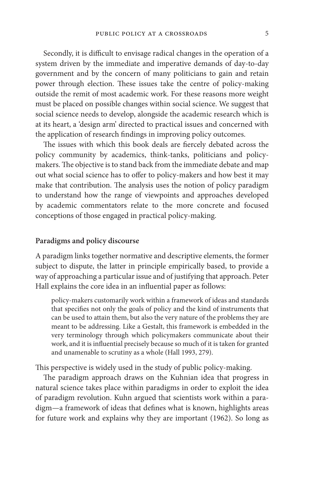Secondly, it is difficult to envisage radical changes in the operation of a system driven by the immediate and imperative demands of day-to-day government and by the concern of many politicians to gain and retain power through election. These issues take the centre of policy-making outside the remit of most academic work. For these reasons more weight must be placed on possible changes within social science. We suggest that social science needs to develop, alongside the academic research which is at its heart, a 'design arm' directed to practical issues and concerned with the application of research findings in improving policy outcomes.

The issues with which this book deals are fiercely debated across the policy community by academics, think-tanks, politicians and policymakers. The objective is to stand back from the immediate debate and map out what social science has to offer to policy-makers and how best it may make that contribution. The analysis uses the notion of policy paradigm to understand how the range of viewpoints and approaches developed by academic commentators relate to the more concrete and focused conceptions of those engaged in practical policy-making.

#### Paradigms and policy discourse

A paradigm links together normative and descriptive elements, the former subject to dispute, the latter in principle empirically based, to provide a way of approaching a particular issue and of justifying that approach. Peter Hall explains the core idea in an influential paper as follows:

policy-makers customarily work within a framework of ideas and standards that specifies not only the goals of policy and the kind of instruments that can be used to attain them, but also the very nature of the problems they are meant to be addressing. Like a Gestalt, this framework is embedded in the very terminology through which policymakers communicate about their work, and it is influential precisely because so much of it is taken for granted and unamenable to scrutiny as a whole (Hall 1993, 279).

This perspective is widely used in the study of public policy-making.

The paradigm approach draws on the Kuhnian idea that progress in natural science takes place within paradigms in order to exploit the idea of paradigm revolution. Kuhn argued that scientists work within a paradigm-a framework of ideas that defines what is known, highlights areas for future work and explains why they are important (1962). So long as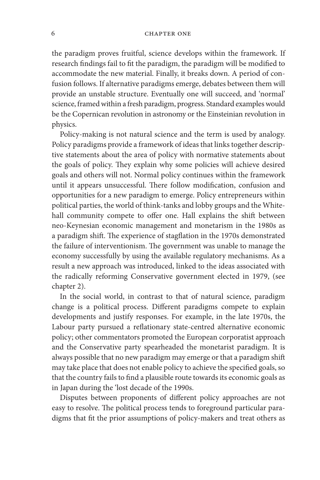#### **CHAPTER ONE**

the paradigm proves fruitful, science develops within the framework. If research findings fail to fit the paradigm, the paradigm will be modified to accommodate the new material. Finally, it breaks down. A period of confusion follows. If alternative paradigms emerge, debates between them will provide an unstable structure. Eventually one will succeed, and 'normal' science, framed within a fresh paradigm, progress. Standard examples would be the Copernican revolution in astronomy or the Einsteinian revolution in physics.

Policy-making is not natural science and the term is used by analogy. Policy paradigms provide a framework of ideas that links together descriptive statements about the area of policy with normative statements about the goals of policy. They explain why some policies will achieve desired goals and others will not. Normal policy continues within the framework until it appears unsuccessful. There follow modification, confusion and opportunities for a new paradigm to emerge. Policy entrepreneurs within political parties, the world of think-tanks and lobby groups and the Whitehall community compete to offer one. Hall explains the shift between neo-Keynesian economic management and monetarism in the 1980s as a paradigm shift. The experience of stagflation in the 1970s demonstrated the failure of interventionism. The government was unable to manage the economy successfully by using the available regulatory mechanisms. As a result a new approach was introduced, linked to the ideas associated with the radically reforming Conservative government elected in 1979, (see chapter 2).

In the social world, in contrast to that of natural science, paradigm change is a political process. Different paradigms compete to explain developments and justify responses. For example, in the late 1970s, the Labour party pursued a reflationary state-centred alternative economic policy; other commentators promoted the European corporatist approach and the Conservative party spearheaded the monetarist paradigm. It is always possible that no new paradigm may emerge or that a paradigm shift may take place that does not enable policy to achieve the specified goals, so that the country fails to find a plausible route towards its economic goals as in Japan during the 'lost decade of the 1990s.

Disputes between proponents of different policy approaches are not easy to resolve. The political process tends to foreground particular paradigms that fit the prior assumptions of policy-makers and treat others as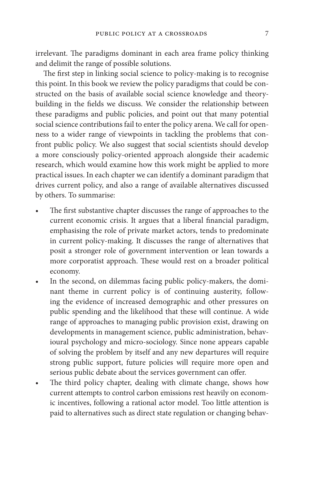irrelevant. The paradigms dominant in each area frame policy thinking and delimit the range of possible solutions.

The first step in linking social science to policy-making is to recognise this point. In this book we review the policy paradigms that could be constructed on the basis of available social science knowledge and theorybuilding in the fields we discuss. We consider the relationship between these paradigms and public policies, and point out that many potential social science contributions fail to enter the policy arena. We call for openness to a wider range of viewpoints in tackling the problems that confront public policy. We also suggest that social scientists should develop a more consciously policy-oriented approach alongside their academic research, which would examine how this work might be applied to more practical issues. In each chapter we can identify a dominant paradigm that drives current policy, and also a range of available alternatives discussed by others. To summarise:

- The first substantive chapter discusses the range of approaches to the current economic crisis. It argues that a liberal financial paradigm, emphasising the role of private market actors, tends to predominate in current policy-making. It discusses the range of alternatives that posit a stronger role of government intervention or lean towards a more corporatist approach. These would rest on a broader political economy.
- In the second, on dilemmas facing public policy-makers, the domi- $\bullet$ nant theme in current policy is of continuing austerity, following the evidence of increased demographic and other pressures on public spending and the likelihood that these will continue. A wide range of approaches to managing public provision exist, drawing on developments in management science, public administration, behavioural psychology and micro-sociology. Since none appears capable of solving the problem by itself and any new departures will require strong public support, future policies will require more open and serious public debate about the services government can offer.
- The third policy chapter, dealing with climate change, shows how  $\bullet$ current attempts to control carbon emissions rest heavily on economic incentives, following a rational actor model. Too little attention is paid to alternatives such as direct state regulation or changing behav-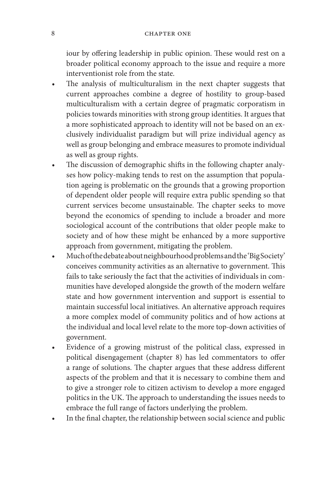iour by offering leadership in public opinion. These would rest on a broader political economy approach to the issue and require a more interventionist role from the state.

- The analysis of multiculturalism in the next chapter suggests that current approaches combine a degree of hostility to group-based multiculturalism with a certain degree of pragmatic corporatism in policies towards minorities with strong group identities. It argues that a more sophisticated approach to identity will not be based on an exclusively individualist paradigm but will prize individual agency as well as group belonging and embrace measures to promote individual as well as group rights.
- The discussion of demographic shifts in the following chapter analyses how policy-making tends to rest on the assumption that population ageing is problematic on the grounds that a growing proportion of dependent older people will require extra public spending so that current services become unsustainable. The chapter seeks to move beyond the economics of spending to include a broader and more sociological account of the contributions that older people make to society and of how these might be enhanced by a more supportive approach from government, mitigating the problem.
- Much of the debate about neighbourhood problems and the 'Big Society' conceives community activities as an alternative to government. This fails to take seriously the fact that the activities of individuals in communities have developed alongside the growth of the modern welfare state and how government intervention and support is essential to maintain successful local initiatives. An alternative approach requires a more complex model of community politics and of how actions at the individual and local level relate to the more top-down activities of government.
- Evidence of a growing mistrust of the political class, expressed in political disengagement (chapter 8) has led commentators to offer a range of solutions. The chapter argues that these address different aspects of the problem and that it is necessary to combine them and to give a stronger role to citizen activism to develop a more engaged politics in the UK. The approach to understanding the issues needs to embrace the full range of factors underlying the problem.
- In the final chapter, the relationship between social science and public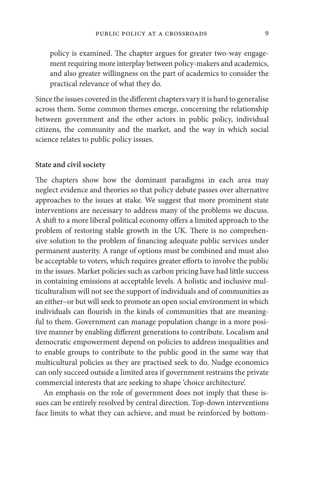policy is examined. The chapter argues for greater two-way engagement requiring more interplay between policy-makers and academics, and also greater willingness on the part of academics to consider the practical relevance of what they do.

Since the issues covered in the different chapters vary it is hard to generalise across them. Some common themes emerge, concerning the relationship between government and the other actors in public policy, individual citizens, the community and the market, and the way in which social science relates to public policy issues.

#### **State and civil society**

The chapters show how the dominant paradigms in each area may neglect evidence and theories so that policy debate passes over alternative approaches to the issues at stake. We suggest that more prominent state interventions are necessary to address many of the problems we discuss. A shift to a more liberal political economy offers a limited approach to the problem of restoring stable growth in the UK. There is no comprehensive solution to the problem of financing adequate public services under permanent austerity. A range of options must be combined and must also be acceptable to voters, which requires greater efforts to involve the public in the issues. Market policies such as carbon pricing have had little success in containing emissions at acceptable levels. A holistic and inclusive multiculturalism will not see the support of individuals and of communities as an either–or but will seek to promote an open social environment in which individuals can flourish in the kinds of communities that are meaningful to them. Government can manage population change in a more positive manner by enabling different generations to contribute. Localism and democratic empowerment depend on policies to address inequalities and to enable groups to contribute to the public good in the same way that multicultural policies as they are practised seek to do. Nudge economics can only succeed outside a limited area if government restrains the private commercial interests that are seeking to shape 'choice architecture'.

An emphasis on the role of government does not imply that these issues can be entirely resolved by central direction. Top-down interventions face limits to what they can achieve, and must be reinforced by bottom-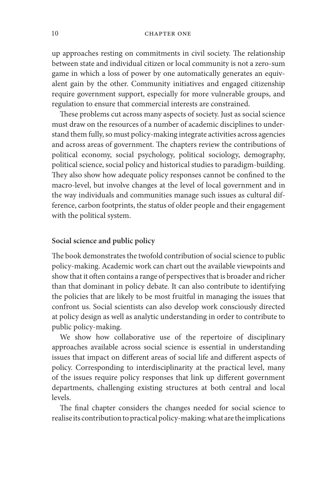#### **CHAPTER ONE**

up approaches resting on commitments in civil society. The relationship between state and individual citizen or local community is not a zero-sum game in which a loss of power by one automatically generates an equivalent gain by the other. Community initiatives and engaged citizenship require government support, especially for more vulnerable groups, and regulation to ensure that commercial interests are constrained.

These problems cut across many aspects of society. Just as social science must draw on the resources of a number of academic disciplines to understand them fully, so must policy-making integrate activities across agencies and across areas of government. The chapters review the contributions of political economy, social psychology, political sociology, demography, political science, social policy and historical studies to paradigm-building. They also show how adequate policy responses cannot be confined to the macro-level, but involve changes at the level of local government and in the way individuals and communities manage such issues as cultural difference, carbon footprints, the status of older people and their engagement with the political system.

### Social science and public policy

The book demonstrates the twofold contribution of social science to public policy-making. Academic work can chart out the available viewpoints and show that it often contains a range of perspectives that is broader and richer than that dominant in policy debate. It can also contribute to identifying the policies that are likely to be most fruitful in managing the issues that confront us. Social scientists can also develop work consciously directed at policy design as well as analytic understanding in order to contribute to public policy-making.

We show how collaborative use of the repertoire of disciplinary approaches available across social science is essential in understanding issues that impact on different areas of social life and different aspects of policy. Corresponding to interdisciplinarity at the practical level, many of the issues require policy responses that link up different government departments, challenging existing structures at both central and local levels.

The final chapter considers the changes needed for social science to realise its contribution to practical policy-making: what are the implications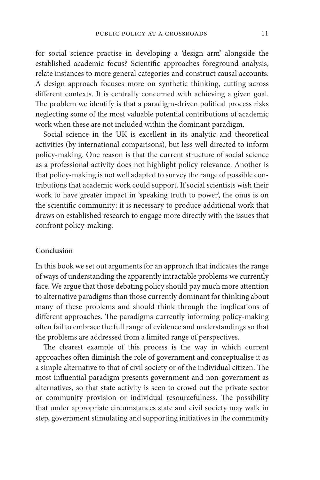for social science practise in developing a 'design arm' alongside the established academic focus? Scientific approaches foreground analysis, relate instances to more general categories and construct causal accounts. A design approach focuses more on synthetic thinking, cutting across different contexts. It is centrally concerned with achieving a given goal. The problem we identify is that a paradigm-driven political process risks neglecting some of the most valuable potential contributions of academic work when these are not included within the dominant paradigm.

Social science in the UK is excellent in its analytic and theoretical activities (by international comparisons), but less well directed to inform policy-making. One reason is that the current structure of social science as a professional activity does not highlight policy relevance. Another is that policy-making is not well adapted to survey the range of possible contributions that academic work could support. If social scientists wish their work to have greater impact in 'speaking truth to power', the onus is on the scientific community: it is necessary to produce additional work that draws on established research to engage more directly with the issues that confront policy-making.

#### **Conclusion**

In this book we set out arguments for an approach that indicates the range of ways of understanding the apparently intractable problems we currently face. We argue that those debating policy should pay much more attention to alternative paradigms than those currently dominant for thinking about many of these problems and should think through the implications of different approaches. The paradigms currently informing policy-making often fail to embrace the full range of evidence and understandings so that the problems are addressed from a limited range of perspectives.

The clearest example of this process is the way in which current approaches often diminish the role of government and conceptualise it as a simple alternative to that of civil society or of the individual citizen. The most influential paradigm presents government and non-government as alternatives, so that state activity is seen to crowd out the private sector or community provision or individual resourcefulness. The possibility that under appropriate circumstances state and civil society may walk in step, government stimulating and supporting initiatives in the community